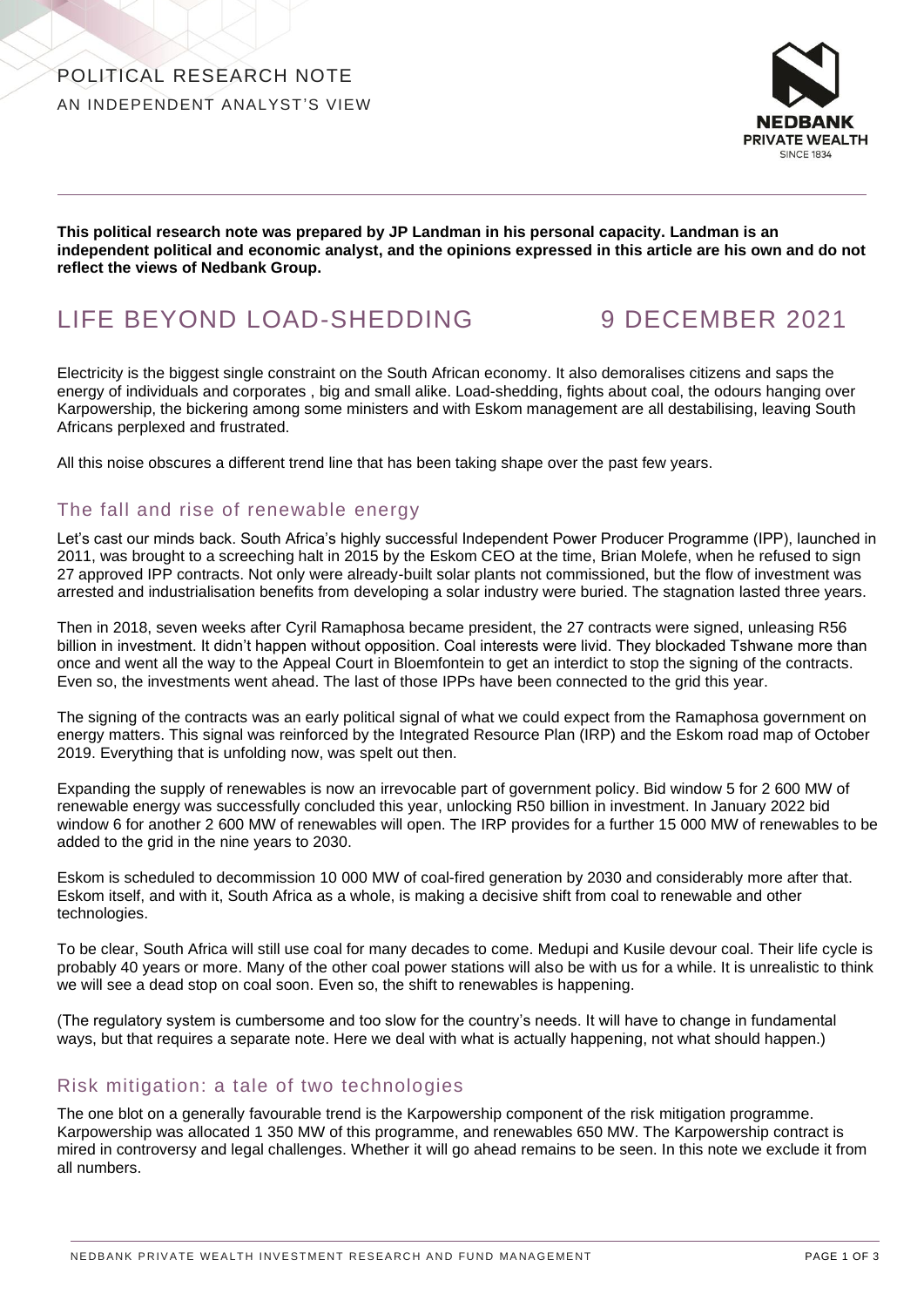

**This political research note was prepared by JP Landman in his personal capacity. Landman is an independent political and economic analyst, and the opinions expressed in this article are his own and do not reflect the views of Nedbank Group.** 

# LIFE BEYOND LOAD-SHEDDING 9 DECEMBER 2021

Electricity is the biggest single constraint on the South African economy. It also demoralises citizens and saps the energy of individuals and corporates , big and small alike. Load-shedding, fights about coal, the odours hanging over Karpowership, the bickering among some ministers and with Eskom management are all destabilising, leaving South Africans perplexed and frustrated.

All this noise obscures a different trend line that has been taking shape over the past few years.

# The fall and rise of renewable energy

Let's cast our minds back. South Africa's highly successful Independent Power Producer Programme (IPP), launched in 2011, was brought to a screeching halt in 2015 by the Eskom CEO at the time, Brian Molefe, when he refused to sign 27 approved IPP contracts. Not only were already-built solar plants not commissioned, but the flow of investment was arrested and industrialisation benefits from developing a solar industry were buried. The stagnation lasted three years.

Then in 2018, seven weeks after Cyril Ramaphosa became president, the 27 contracts were signed, unleasing R56 billion in investment. It didn't happen without opposition. Coal interests were livid. They blockaded Tshwane more than once and went all the way to the Appeal Court in Bloemfontein to get an interdict to stop the signing of the contracts. Even so, the investments went ahead. The last of those IPPs have been connected to the grid this year.

The signing of the contracts was an early political signal of what we could expect from the Ramaphosa government on energy matters. This signal was reinforced by the Integrated Resource Plan (IRP) and the Eskom road map of October 2019. Everything that is unfolding now, was spelt out then.

Expanding the supply of renewables is now an irrevocable part of government policy. Bid window 5 for 2 600 MW of renewable energy was successfully concluded this year, unlocking R50 billion in investment. In January 2022 bid window 6 for another 2 600 MW of renewables will open. The IRP provides for a further 15 000 MW of renewables to be added to the grid in the nine years to 2030.

Eskom is scheduled to decommission 10 000 MW of coal-fired generation by 2030 and considerably more after that. Eskom itself, and with it, South Africa as a whole, is making a decisive shift from coal to renewable and other technologies.

To be clear, South Africa will still use coal for many decades to come. Medupi and Kusile devour coal. Their life cycle is probably 40 years or more. Many of the other coal power stations will also be with us for a while. It is unrealistic to think we will see a dead stop on coal soon. Even so, the shift to renewables is happening.

(The regulatory system is cumbersome and too slow for the country's needs. It will have to change in fundamental ways, but that requires a separate note. Here we deal with what is actually happening, not what should happen.)

#### Risk mitigation: a tale of two technologies

The one blot on a generally favourable trend is the Karpowership component of the risk mitigation programme. Karpowership was allocated 1 350 MW of this programme, and renewables 650 MW. The Karpowership contract is mired in controversy and legal challenges. Whether it will go ahead remains to be seen. In this note we exclude it from all numbers.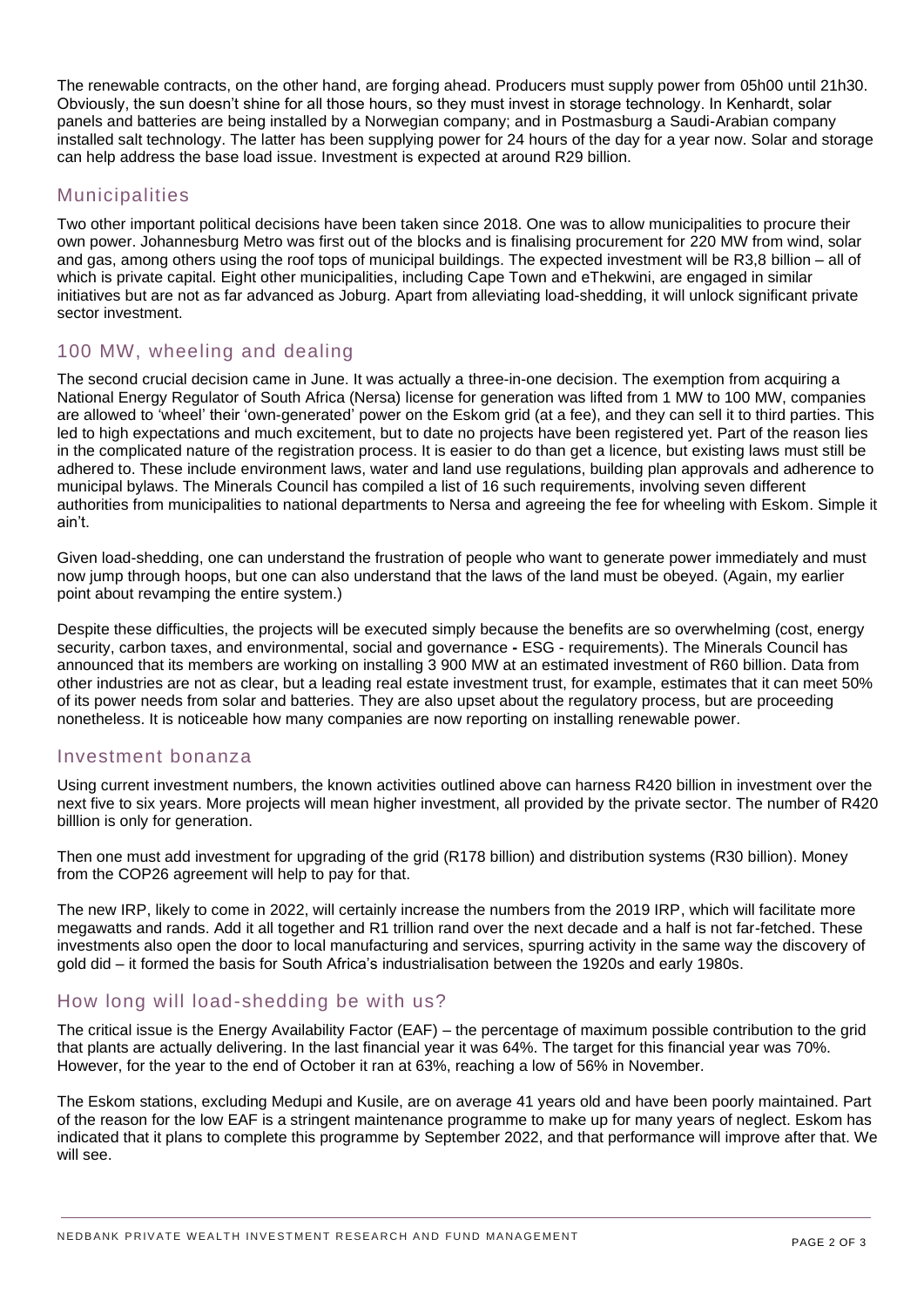The renewable contracts, on the other hand, are forging ahead. Producers must supply power from 05h00 until 21h30. Obviously, the sun doesn't shine for all those hours, so they must invest in storage technology. In Kenhardt, solar panels and batteries are being installed by a Norwegian company; and in Postmasburg a Saudi-Arabian company installed salt technology. The latter has been supplying power for 24 hours of the day for a year now. Solar and storage can help address the base load issue. Investment is expected at around R29 billion.

## Municipalities

Two other important political decisions have been taken since 2018. One was to allow municipalities to procure their own power. Johannesburg Metro was first out of the blocks and is finalising procurement for 220 MW from wind, solar and gas, among others using the roof tops of municipal buildings. The expected investment will be R3,8 billion – all of which is private capital. Eight other municipalities, including Cape Town and eThekwini, are engaged in similar initiatives but are not as far advanced as Joburg. Apart from alleviating load-shedding, it will unlock significant private sector investment.

# 100 MW, wheeling and dealing

The second crucial decision came in June. It was actually a three-in-one decision. The exemption from acquiring a National Energy Regulator of South Africa (Nersa) license for generation was lifted from 1 MW to 100 MW, companies are allowed to 'wheel' their 'own-generated' power on the Eskom grid (at a fee), and they can sell it to third parties. This led to high expectations and much excitement, but to date no projects have been registered yet. Part of the reason lies in the complicated nature of the registration process. It is easier to do than get a licence, but existing laws must still be adhered to. These include environment laws, water and land use regulations, building plan approvals and adherence to municipal bylaws. The Minerals Council has compiled a list of 16 such requirements, involving seven different authorities from municipalities to national departments to Nersa and agreeing the fee for wheeling with Eskom. Simple it ain't.

Given load-shedding, one can understand the frustration of people who want to generate power immediately and must now jump through hoops, but one can also understand that the laws of the land must be obeyed. (Again, my earlier point about revamping the entire system.)

Despite these difficulties, the projects will be executed simply because the benefits are so overwhelming (cost, energy security, carbon taxes, and environmental, social and governance **-** ESG - requirements). The Minerals Council has announced that its members are working on installing 3 900 MW at an estimated investment of R60 billion. Data from other industries are not as clear, but a leading real estate investment trust, for example, estimates that it can meet 50% of its power needs from solar and batteries. They are also upset about the regulatory process, but are proceeding nonetheless. It is noticeable how many companies are now reporting on installing renewable power.

#### Investment bonanza

Using current investment numbers, the known activities outlined above can harness R420 billion in investment over the next five to six years. More projects will mean higher investment, all provided by the private sector. The number of R420 billlion is only for generation.

Then one must add investment for upgrading of the grid (R178 billion) and distribution systems (R30 billion). Money from the COP26 agreement will help to pay for that.

The new IRP, likely to come in 2022, will certainly increase the numbers from the 2019 IRP, which will facilitate more megawatts and rands. Add it all together and R1 trillion rand over the next decade and a half is not far-fetched. These investments also open the door to local manufacturing and services, spurring activity in the same way the discovery of gold did – it formed the basis for South Africa's industrialisation between the 1920s and early 1980s.

## How long will load-shedding be with us?

The critical issue is the Energy Availability Factor (EAF) – the percentage of maximum possible contribution to the grid that plants are actually delivering. In the last financial year it was 64%. The target for this financial year was 70%. However, for the year to the end of October it ran at 63%, reaching a low of 56% in November.

The Eskom stations, excluding Medupi and Kusile, are on average 41 years old and have been poorly maintained. Part of the reason for the low EAF is a stringent maintenance programme to make up for many years of neglect. Eskom has indicated that it plans to complete this programme by September 2022, and that performance will improve after that. We will see.